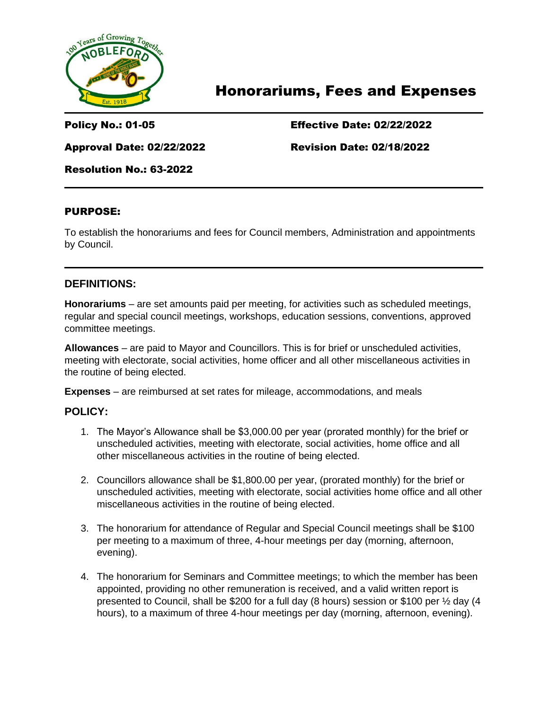

# Honorariums, Fees and Expenses

### Policy No.: 01-05 Effective Date: 02/22/2022

Approval Date: 02/22/2022 Revision Date: 02/18/2022

Resolution No.: 63-2022

#### PURPOSE:

To establish the honorariums and fees for Council members, Administration and appointments by Council.

#### **DEFINITIONS:**

**Honorariums** – are set amounts paid per meeting, for activities such as scheduled meetings, regular and special council meetings, workshops, education sessions, conventions, approved committee meetings.

**Allowances** – are paid to Mayor and Councillors. This is for brief or unscheduled activities, meeting with electorate, social activities, home officer and all other miscellaneous activities in the routine of being elected.

**Expenses** – are reimbursed at set rates for mileage, accommodations, and meals

#### **POLICY:**

- 1. The Mayor's Allowance shall be \$3,000.00 per year (prorated monthly) for the brief or unscheduled activities, meeting with electorate, social activities, home office and all other miscellaneous activities in the routine of being elected.
- 2. Councillors allowance shall be \$1,800.00 per year, (prorated monthly) for the brief or unscheduled activities, meeting with electorate, social activities home office and all other miscellaneous activities in the routine of being elected.
- 3. The honorarium for attendance of Regular and Special Council meetings shall be \$100 per meeting to a maximum of three, 4-hour meetings per day (morning, afternoon, evening).
- 4. The honorarium for Seminars and Committee meetings; to which the member has been appointed, providing no other remuneration is received, and a valid written report is presented to Council, shall be \$200 for a full day (8 hours) session or \$100 per ½ day (4 hours), to a maximum of three 4-hour meetings per day (morning, afternoon, evening).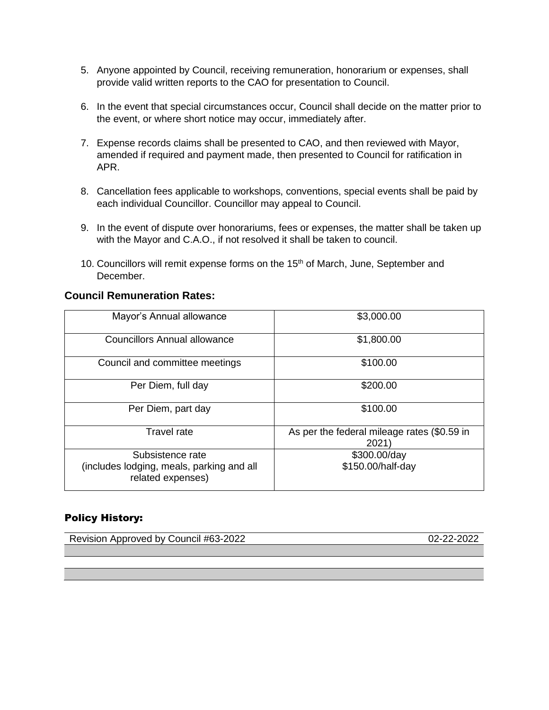- 5. Anyone appointed by Council, receiving remuneration, honorarium or expenses, shall provide valid written reports to the CAO for presentation to Council.
- 6. In the event that special circumstances occur, Council shall decide on the matter prior to the event, or where short notice may occur, immediately after.
- 7. Expense records claims shall be presented to CAO, and then reviewed with Mayor, amended if required and payment made, then presented to Council for ratification in APR.
- 8. Cancellation fees applicable to workshops, conventions, special events shall be paid by each individual Councillor. Councillor may appeal to Council.
- 9. In the event of dispute over honorariums, fees or expenses, the matter shall be taken up with the Mayor and C.A.O., if not resolved it shall be taken to council.
- 10. Councillors will remit expense forms on the 15<sup>th</sup> of March, June, September and December.

#### **Council Remuneration Rates:**

| Mayor's Annual allowance                                                           | \$3,000.00                                          |
|------------------------------------------------------------------------------------|-----------------------------------------------------|
| <b>Councillors Annual allowance</b>                                                | \$1,800.00                                          |
| Council and committee meetings                                                     | \$100.00                                            |
| Per Diem, full day                                                                 | \$200.00                                            |
| Per Diem, part day                                                                 | \$100.00                                            |
| <b>Travel rate</b>                                                                 | As per the federal mileage rates (\$0.59 in<br>2021 |
| Subsistence rate<br>(includes lodging, meals, parking and all<br>related expenses) | \$300.00/day<br>\$150.00/half-day                   |

#### Policy History:

Revision Approved by Council #63-2022 02-22-2022 02-22-2022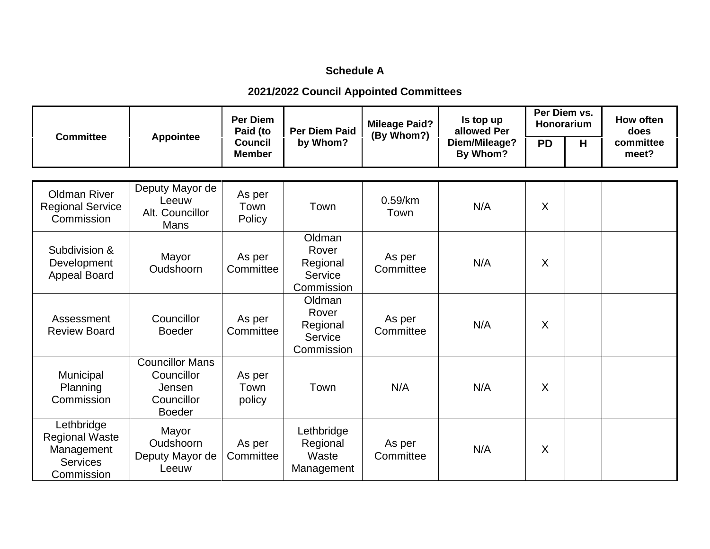### **Schedule A**

# **2021/2022 Council Appointed Committees**

| <b>Committee</b>                                                                   | <b>Appointee</b>                                                              | <b>Per Diem</b><br>Paid (to<br><b>Council</b><br><b>Member</b> | <b>Per Diem Paid</b><br>by Whom?                     | <b>Mileage Paid?</b><br>(By Whom?) | Is top up<br>allowed Per<br>Diem/Mileage?<br>By Whom? | Per Diem vs.<br>Honorarium |   | How often<br>does  |
|------------------------------------------------------------------------------------|-------------------------------------------------------------------------------|----------------------------------------------------------------|------------------------------------------------------|------------------------------------|-------------------------------------------------------|----------------------------|---|--------------------|
|                                                                                    |                                                                               |                                                                |                                                      |                                    |                                                       | <b>PD</b>                  | H | committee<br>meet? |
|                                                                                    |                                                                               |                                                                |                                                      |                                    |                                                       |                            |   |                    |
| <b>Oldman River</b><br><b>Regional Service</b><br>Commission                       | Deputy Mayor de<br>Leeuw<br>Alt. Councillor<br>Mans                           | As per<br>Town<br>Policy                                       | Town                                                 | $0.59$ /km<br>Town                 | N/A                                                   | $\sf X$                    |   |                    |
| Subdivision &<br>Development<br><b>Appeal Board</b>                                | Mayor<br>Oudshoorn                                                            | As per<br>Committee                                            | Oldman<br>Rover<br>Regional<br>Service<br>Commission | As per<br>Committee                | N/A                                                   | $\sf X$                    |   |                    |
| Assessment<br><b>Review Board</b>                                                  | Councillor<br><b>Boeder</b>                                                   | As per<br>Committee                                            | Oldman<br>Rover<br>Regional<br>Service<br>Commission | As per<br>Committee                | N/A                                                   | $\sf X$                    |   |                    |
| Municipal<br>Planning<br>Commission                                                | <b>Councillor Mans</b><br>Councillor<br>Jensen<br>Councillor<br><b>Boeder</b> | As per<br>Town<br>policy                                       | Town                                                 | N/A                                | N/A                                                   | X                          |   |                    |
| Lethbridge<br><b>Regional Waste</b><br>Management<br><b>Services</b><br>Commission | Mayor<br>Oudshoorn<br>Deputy Mayor de<br>Leeuw                                | As per<br>Committee                                            | Lethbridge<br>Regional<br>Waste<br>Management        | As per<br>Committee                | N/A                                                   | $\times$                   |   |                    |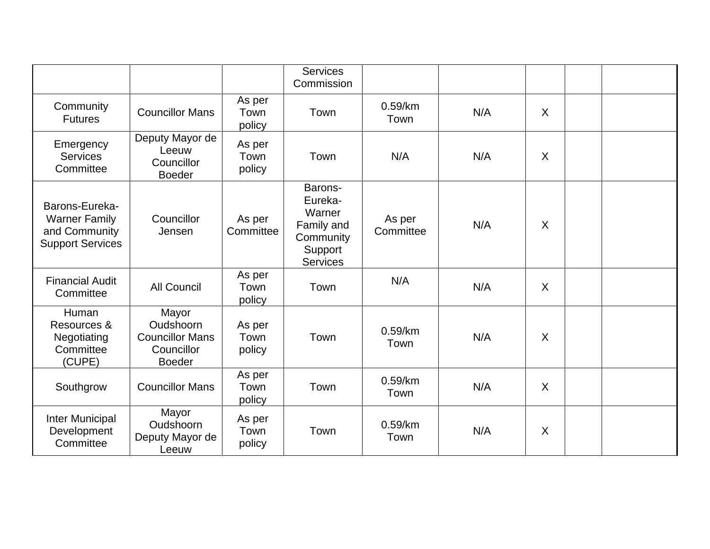|                                                                                    |                                                                             |                          | <b>Services</b><br>Commission                                                         |                     |     |         |  |
|------------------------------------------------------------------------------------|-----------------------------------------------------------------------------|--------------------------|---------------------------------------------------------------------------------------|---------------------|-----|---------|--|
| Community<br><b>Futures</b>                                                        | <b>Councillor Mans</b>                                                      | As per<br>Town<br>policy | Town                                                                                  | $0.59$ /km<br>Town  | N/A | $\sf X$ |  |
| Emergency<br><b>Services</b><br>Committee                                          | Deputy Mayor de<br>Leeuw<br>Councillor<br><b>Boeder</b>                     | As per<br>Town<br>policy | Town                                                                                  | N/A                 | N/A | $\sf X$ |  |
| Barons-Eureka-<br><b>Warner Family</b><br>and Community<br><b>Support Services</b> | Councillor<br>Jensen                                                        | As per<br>Committee      | Barons-<br>Eureka-<br>Warner<br>Family and<br>Community<br>Support<br><b>Services</b> | As per<br>Committee | N/A | $\sf X$ |  |
| <b>Financial Audit</b><br>Committee                                                | <b>All Council</b>                                                          | As per<br>Town<br>policy | Town                                                                                  | N/A                 | N/A | $\sf X$ |  |
| Human<br>Resources &<br>Negotiating<br>Committee<br>(CUPE)                         | Mayor<br>Oudshoorn<br><b>Councillor Mans</b><br>Councillor<br><b>Boeder</b> | As per<br>Town<br>policy | Town                                                                                  | $0.59$ /km<br>Town  | N/A | $\sf X$ |  |
| Southgrow                                                                          | <b>Councillor Mans</b>                                                      | As per<br>Town<br>policy | Town                                                                                  | $0.59$ /km<br>Town  | N/A | $\sf X$ |  |
| Inter Municipal<br>Development<br>Committee                                        | Mayor<br>Oudshoorn<br>Deputy Mayor de<br>Leeuw                              | As per<br>Town<br>policy | Town                                                                                  | $0.59$ /km<br>Town  | N/A | $\sf X$ |  |